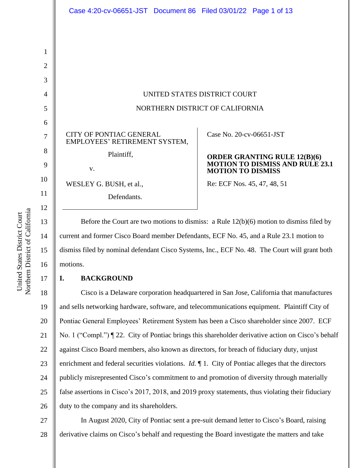|                                 | Case 4:20-cv-06651-JST Document 86 Filed 03/01/22 Page 1 of 13  |                                                                                                           |  |
|---------------------------------|-----------------------------------------------------------------|-----------------------------------------------------------------------------------------------------------|--|
|                                 |                                                                 |                                                                                                           |  |
|                                 |                                                                 |                                                                                                           |  |
|                                 |                                                                 |                                                                                                           |  |
|                                 |                                                                 |                                                                                                           |  |
|                                 |                                                                 |                                                                                                           |  |
| UNITED STATES DISTRICT COURT    |                                                                 |                                                                                                           |  |
| NORTHERN DISTRICT OF CALIFORNIA |                                                                 |                                                                                                           |  |
|                                 |                                                                 |                                                                                                           |  |
|                                 | <b>CITY OF PONTIAC GENERAL</b><br>EMPLOYEES' RETIREMENT SYSTEM, | Case No. 20-cv-06651-JST                                                                                  |  |
|                                 | Plaintiff,                                                      | <b>ORDER GRANTING RULE 12(B)(6)</b><br><b>MOTION TO DISMISS AND RULE 23.1</b><br><b>MOTION TO DISMISS</b> |  |
|                                 | V.                                                              |                                                                                                           |  |
|                                 | WESLEY G. BUSH, et al.,                                         | Re: ECF Nos. 45, 47, 48, 51                                                                               |  |
|                                 | Defendants.                                                     |                                                                                                           |  |

Before the Court are two motions to dismiss: a Rule 12(b)(6) motion to dismiss filed by current and former Cisco Board member Defendants, ECF No. 45, and a Rule 23.1 motion to dismiss filed by nominal defendant Cisco Systems, Inc., ECF No. 48. The Court will grant both motions.

# **I. BACKGROUND**

18 19 20 21 22 23 24 25 26 Cisco is a Delaware corporation headquartered in San Jose, California that manufactures and sells networking hardware, software, and telecommunications equipment. Plaintiff City of Pontiac General Employees' Retirement System has been a Cisco shareholder since 2007. ECF No. 1 ("Compl.") ¶ 22. City of Pontiac brings this shareholder derivative action on Cisco's behalf against Cisco Board members, also known as directors, for breach of fiduciary duty, unjust enrichment and federal securities violations. *Id.*  $\P$  1. City of Pontiac alleges that the directors publicly misrepresented Cisco's commitment to and promotion of diversity through materially false assertions in Cisco's 2017, 2018, and 2019 proxy statements, thus violating their fiduciary duty to the company and its shareholders.

27 28 In August 2020, City of Pontiac sent a pre-suit demand letter to Cisco's Board, raising derivative claims on Cisco's behalf and requesting the Board investigate the matters and take

Northern District of California Northern District of California United States District Court United States District Court

14

15

16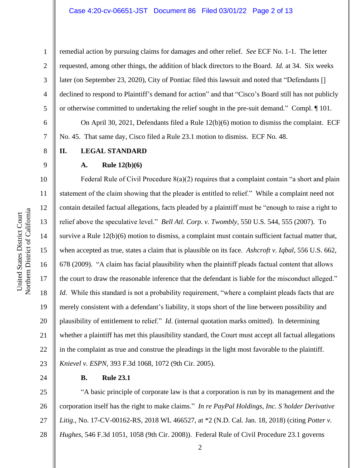remedial action by pursuing claims for damages and other relief. *See* ECF No. 1-1. The letter requested, among other things, the addition of black directors to the Board. *Id.* at 34. Six weeks later (on September 23, 2020), City of Pontiac filed this lawsuit and noted that "Defendants [] declined to respond to Plaintiff's demand for action" and that "Cisco's Board still has not publicly or otherwise committed to undertaking the relief sought in the pre-suit demand." Compl. ¶ 101.

On April 30, 2021, Defendants filed a Rule 12(b)(6) motion to dismiss the complaint. ECF No. 45. That same day, Cisco filed a Rule 23.1 motion to dismiss. ECF No. 48.

**II. LEGAL STANDARD**

### **A. Rule 12(b)(6)**

Federal Rule of Civil Procedure  $8(a)(2)$  requires that a complaint contain "a short and plain statement of the claim showing that the pleader is entitled to relief." While a complaint need not contain detailed factual allegations, facts pleaded by a plaintiff must be "enough to raise a right to relief above the speculative level." *Bell Atl. Corp. v. Twombly*, 550 U.S. 544, 555 (2007). To survive a Rule 12(b)(6) motion to dismiss, a complaint must contain sufficient factual matter that, when accepted as true, states a claim that is plausible on its face. *Ashcroft v. Iqbal*, 556 U.S. 662, 678 (2009). "A claim has facial plausibility when the plaintiff pleads factual content that allows the court to draw the reasonable inference that the defendant is liable for the misconduct alleged." *Id.* While this standard is not a probability requirement, "where a complaint pleads facts that are merely consistent with a defendant's liability, it stops short of the line between possibility and plausibility of entitlement to relief." *Id*. (internal quotation marks omitted). In determining whether a plaintiff has met this plausibility standard, the Court must accept all factual allegations in the complaint as true and construe the pleadings in the light most favorable to the plaintiff. *Knievel v. ESPN*, 393 F.3d 1068, 1072 (9th Cir. 2005).

### **B. Rule 23.1**

25 26 27 28 "A basic principle of corporate law is that a corporation is run by its management and the corporation itself has the right to make claims." *In re PayPal Holdings, Inc. S'holder Derivative Litig.*, No. 17-CV-00162-RS, 2018 WL 466527, at \*2 (N.D. Cal. Jan. 18, 2018) (citing *Potter v. Hughes*, 546 F.3d 1051, 1058 (9th Cir. 2008)). Federal Rule of Civil Procedure 23.1 governs

1

2

3

4

5

6

7

8

9

10

11

12

13

14

15

16

17

18

19

20

21

22

23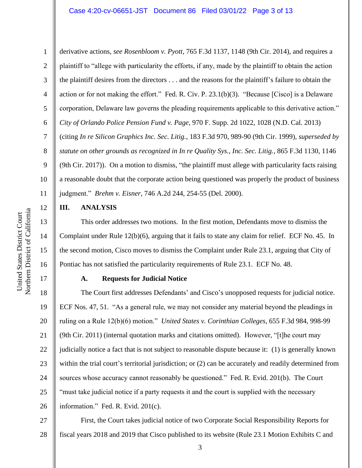1 2 3 4 5 6 7 8 9 10 11 derivative actions, *see Rosenbloom v. Pyott*, 765 F.3d 1137, 1148 (9th Cir. 2014), and requires a plaintiff to "allege with particularity the efforts, if any, made by the plaintiff to obtain the action the plaintiff desires from the directors . . . and the reasons for the plaintiff's failure to obtain the action or for not making the effort." Fed. R. Civ. P. 23.1(b)(3). "Because [Cisco] is a Delaware corporation, Delaware law governs the pleading requirements applicable to this derivative action." *City of Orlando Police Pension Fund v. Page*, 970 F. Supp. 2d 1022, 1028 (N.D. Cal. 2013) (citing *In re Silicon Graphics Inc. Sec. Litig.*, 183 F.3d 970, 989-90 (9th Cir. 1999), *superseded by statute on other grounds as recognized in In re Quality Sys., Inc. Sec. Litig.*, 865 F.3d 1130, 1146 (9th Cir. 2017)). On a motion to dismiss, "the plaintiff must allege with particularity facts raising a reasonable doubt that the corporate action being questioned was properly the product of business judgment." *Brehm v. Eisner*, 746 A.2d 244, 254-55 (Del. 2000).

### **III. ANALYSIS**

This order addresses two motions. In the first motion, Defendants move to dismiss the Complaint under Rule 12(b)(6), arguing that it fails to state any claim for relief. ECF No. 45. In the second motion, Cisco moves to dismiss the Complaint under Rule 23.1, arguing that City of Pontiac has not satisfied the particularity requirements of Rule 23.1. ECF No. 48.

# **A. Requests for Judicial Notice**

18 19 20 21 22 23 24 25 26 The Court first addresses Defendants' and Cisco's unopposed requests for judicial notice. ECF Nos. 47, 51. "As a general rule, we may not consider any material beyond the pleadings in ruling on a Rule 12(b)(6) motion." *United States v. Corinthian Colleges*, 655 F.3d 984, 998-99 (9th Cir. 2011) (internal quotation marks and citations omitted). However, "[t]he court may judicially notice a fact that is not subject to reasonable dispute because it: (1) is generally known within the trial court's territorial jurisdiction; or  $(2)$  can be accurately and readily determined from sources whose accuracy cannot reasonably be questioned." Fed. R. Evid. 201(b). The Court "must take judicial notice if a party requests it and the court is supplied with the necessary information." Fed. R. Evid. 201(c).

27 28 First, the Court takes judicial notice of two Corporate Social Responsibility Reports for fiscal years 2018 and 2019 that Cisco published to its website (Rule 23.1 Motion Exhibits C and

12

13

14

15

16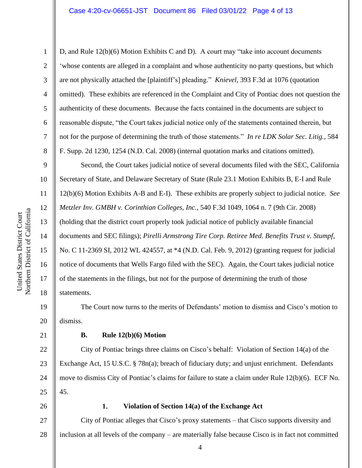D, and Rule 12(b)(6) Motion Exhibits C and D). A court may "take into account documents 'whose contents are alleged in a complaint and whose authenticity no party questions, but which are not physically attached the [plaintiff's] pleading." *Knievel*, 393 F.3d at 1076 (quotation omitted). These exhibits are referenced in the Complaint and City of Pontiac does not question the authenticity of these documents. Because the facts contained in the documents are subject to reasonable dispute, "the Court takes judicial notice only of the statements contained therein, but not for the purpose of determining the truth of those statements." *In re LDK Solar Sec. Litig.*, 584 F. Supp. 2d 1230, 1254 (N.D. Cal. 2008) (internal quotation marks and citations omitted).

Second, the Court takes judicial notice of several documents filed with the SEC, California Secretary of State, and Delaware Secretary of State (Rule 23.1 Motion Exhibits B, E-I and Rule 12(b)(6) Motion Exhibits A-B and E-I). These exhibits are properly subject to judicial notice. *See Metzler Inv. GMBH v. Corinthian Colleges, Inc.*, 540 F.3d 1049, 1064 n. 7 (9th Cir. 2008) (holding that the district court properly took judicial notice of publicly available financial documents and SEC filings); *Pirelli Armstrong Tire Corp. Retiree Med. Benefits Trust v. Stumpf*, No. C 11-2369 SI, 2012 WL 424557, at \*4 (N.D. Cal. Feb. 9, 2012) (granting request for judicial notice of documents that Wells Fargo filed with the SEC). Again, the Court takes judicial notice of the statements in the filings, but not for the purpose of determining the truth of those statements.

The Court now turns to the merits of Defendants' motion to dismiss and Cisco's motion to dismiss.

21

1

2

3

4

5

6

7

8

9

10

11

12

13

14

15

16

17

18

19

20

## **B. Rule 12(b)(6) Motion**

22 23 24 25 City of Pontiac brings three claims on Cisco's behalf: Violation of Section 14(a) of the Exchange Act, 15 U.S.C. § 78n(a); breach of fiduciary duty; and unjust enrichment. Defendants move to dismiss City of Pontiac's claims for failure to state a claim under Rule 12(b)(6). ECF No. 45.

26

### 1. **Violation of Section 14(a) of the Exchange Act**

27 28 City of Pontiac alleges that Cisco's proxy statements – that Cisco supports diversity and inclusion at all levels of the company – are materially false because Cisco is in fact not committed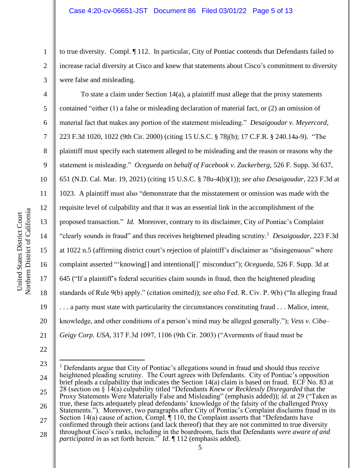to true diversity. Compl. ¶ 112. In particular, City of Pontiac contends that Defendants failed to increase racial diversity at Cisco and knew that statements about Cisco's commitment to diversity were false and misleading.

To state a claim under Section 14(a), a plaintiff must allege that the proxy statements contained "either (1) a false or misleading declaration of material fact, or (2) an omission of material fact that makes any portion of the statement misleading." *Desaigoudar v. Meyercord*, 223 F.3d 1020, 1022 (9th Cir. 2000) (citing 15 U.S.C. § 78j(b); 17 C.F.R. § 240.14a-9). "The plaintiff must specify each statement alleged to be misleading and the reason or reasons why the statement is misleading." *Ocegueda on behalf of Facebook v. Zuckerberg*, 526 F. Supp. 3d 637, 651 (N.D. Cal. Mar. 19, 2021) (citing 15 U.S.C. § 78u-4(b)(1)); *see also Desaigoudar*, 223 F.3d at 1023. A plaintiff must also "demonstrate that the misstatement or omission was made with the requisite level of culpability and that it was an essential link in the accomplishment of the proposed transaction." *Id.* Moreover, contrary to its disclaimer, City of Pontiac's Complaint "clearly sounds in fraud" and thus receives heightened pleading scrutiny.<sup>1</sup> Desaigoudar, 223 F.3d at 1022 n.5 (affirming district court's rejection of plaintiff's disclaimer as "disingenuous" where complaint asserted "'knowing[] and intentional[]' misconduct"); *Ocegueda*, 526 F. Supp. 3d at 645 ("If a plaintiff's federal securities claim sounds in fraud, then the heightened pleading standards of Rule 9(b) apply." (citation omitted)); *see also* Fed. R. Civ. P. 9(b) ("In alleging fraud . . . a party must state with particularity the circumstances constituting fraud . . . Malice, intent, knowledge, and other conditions of a person's mind may be alleged generally."); *Vess v. Ciba– Geigy Corp. USA*, 317 F.3d 1097, 1106 (9th Cir. 2003) ("Averments of fraud must be

- 22
- 23 24 25 26 27 28  $<sup>1</sup>$  Defendants argue that City of Pontiac's allegations sound in fraud and should thus receive</sup> heightened pleading scrutiny. The Court agrees with Defendants. City of Pontiac's opposition brief pleads a culpability that indicates the Section 14(a) claim is based on fraud. ECF No. 83 at 28 (section on § 14(a) culpability titled "Defendants *Knew or Recklessly Disregarded* that the Proxy Statements Were Materially False and Misleading" (emphasis added)); *id.* at 29 ("Taken as true, these facts adequately plead defendants' knowledge of the falsity of the challenged Proxy Statements."). Moreover, two paragraphs after City of Pontiac's Complaint disclaims fraud in its Section 14(a) cause of action, Compl.  $\P$  110, the Complaint asserts that "Defendants have confirmed through their actions (and lack thereof) that they are not committed to true diversity throughout Cisco's ranks, including in the boardroom, facts that Defendants *were aware of and participated in* as set forth herein." *Id*. *[112 (emphasis added)*.

1

2

3

4

5

6

7

8

9

10

11

12

13

14

15

16

17

18

19

20

21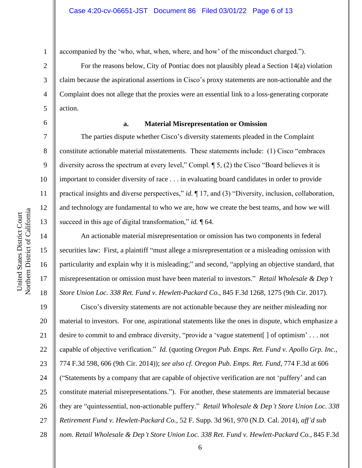11

12

13

14

15

16

17

18

accompanied by the 'who, what, when, where, and how' of the misconduct charged.").

For the reasons below, City of Pontiac does not plausibly plead a Section 14(a) violation claim because the aspirational assertions in Cisco's proxy statements are non-actionable and the Complaint does not allege that the proxies were an essential link to a loss-generating corporate action.

6

1

### **a. Material Misrepresentation or Omission**

The parties dispute whether Cisco's diversity statements pleaded in the Complaint constitute actionable material misstatements. These statements include: (1) Cisco "embraces diversity across the spectrum at every level," Compl. ¶ 5, (2) the Cisco "Board believes it is important to consider diversity of race . . . in evaluating board candidates in order to provide practical insights and diverse perspectives," *id.* ¶ 17, and (3) "Diversity, inclusion, collaboration, and technology are fundamental to who we are, how we create the best teams, and how we will succeed in this age of digital transformation," *id.* ¶ 64.

An actionable material misrepresentation or omission has two components in federal securities law: First, a plaintiff "must allege a misrepresentation or a misleading omission with particularity and explain why it is misleading;" and second, "applying an objective standard, that misrepresentation or omission must have been material to investors." *Retail Wholesale & Dep't Store Union Loc. 338 Ret. Fund v. Hewlett-Packard Co.*, 845 F.3d 1268, 1275 (9th Cir. 2017).

19 20 21 22 23 24 25 26 27 28 Cisco's diversity statements are not actionable because they are neither misleading nor material to investors. For one, aspirational statements like the ones in dispute, which emphasize a desire to commit to and embrace diversity, "provide a 'vague statement[ ] of optimism' . . . not capable of objective verification." *Id.* (quoting *Oregon Pub. Emps. Ret. Fund v. Apollo Grp. Inc.*, 774 F.3d 598, 606 (9th Cir. 2014)); *see also cf. Oregon Pub. Emps. Ret. Fund*, 774 F.3d at 606 ("Statements by a company that are capable of objective verification are not 'puffery' and can constitute material misrepresentations."). For another, these statements are immaterial because they are "quintessential, non-actionable puffery." *Retail Wholesale & Dep't Store Union Loc. 338 Retirement Fund v. Hewlett-Packard Co.*, 52 F. Supp. 3d 961, 970 (N.D. Cal. 2014), *aff'd sub nom. Retail Wholesale & Dep't Store Union Loc. 338 Ret. Fund v. Hewlett-Packard Co.*, 845 F.3d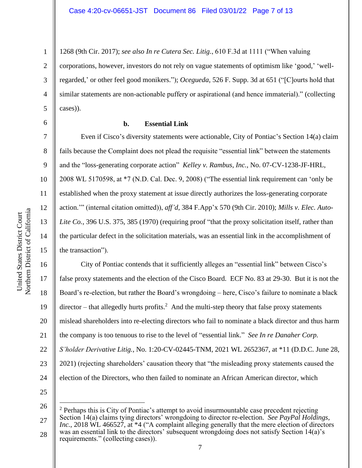1268 (9th Cir. 2017); *see also In re Cutera Sec. Litig.*, 610 F.3d at 1111 ("When valuing corporations, however, investors do not rely on vague statements of optimism like 'good,' 'wellregarded,' or other feel good monikers."); *Ocegueda*, 526 F. Supp. 3d at 651 ("[C]ourts hold that similar statements are non-actionable puffery or aspirational (and hence immaterial)." (collecting cases)).

6

7

8

9

10

11

12

13

14

15

1

2

3

4

5

## **b. Essential Link**

Even if Cisco's diversity statements were actionable, City of Pontiac's Section 14(a) claim fails because the Complaint does not plead the requisite "essential link" between the statements and the "loss-generating corporate action" *Kelley v. Rambus, Inc.*, No. 07-CV-1238-JF-HRL, 2008 WL 5170598, at \*7 (N.D. Cal. Dec. 9, 2008) ("The essential link requirement can 'only be established when the proxy statement at issue directly authorizes the loss-generating corporate action.'" (internal citation omitted)), *aff'd*, 384 F.App'x 570 (9th Cir. 2010); *Mills v. Elec. Auto-*Lite Co., 396 U.S. 375, 385 (1970) (requiring proof "that the proxy solicitation itself, rather than the particular defect in the solicitation materials, was an essential link in the accomplishment of the transaction").

16 17 18 19 20 21 22 23 24 City of Pontiac contends that it sufficiently alleges an "essential link" between Cisco's false proxy statements and the election of the Cisco Board. ECF No. 83 at 29-30. But it is not the Board's re-election, but rather the Board's wrongdoing – here, Cisco's failure to nominate a black director – that allegedly hurts profits.<sup>2</sup> And the multi-step theory that false proxy statements mislead shareholders into re-electing directors who fail to nominate a black director and thus harm the company is too tenuous to rise to the level of "essential link." *See In re Danaher Corp. S'holder Derivative Litig.*, No. 1:20-CV-02445-TNM, 2021 WL 2652367, at \*11 (D.D.C. June 28, 2021) (rejecting shareholders' causation theory that "the misleading proxy statements caused the election of the Directors, who then failed to nominate an African American director, which

<sup>26</sup> 27 28  $2$  Perhaps this is City of Pontiac's attempt to avoid insurmountable case precedent rejecting Section 14(a) claims tying directors' wrongdoing to director re-election. *See PayPal Holdings, Inc.*, 2018 WL 466527, at \*4 ("A complaint alleging generally that the mere election of directors was an essential link to the directors' subsequent wrongdoing does not satisfy Section 14(a)'s requirements." (collecting cases)).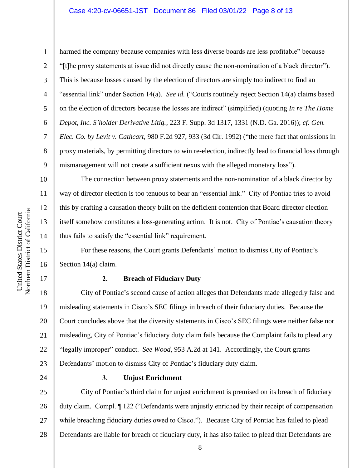1

2

3

4

5

6

7

8

9

10

11

12

13

14

15

16

17

harmed the company because companies with less diverse boards are less profitable" because "[t]he proxy statements at issue did not directly cause the non-nomination of a black director"). This is because losses caused by the election of directors are simply too indirect to find an "essential link" under Section 14(a). *See id.* ("Courts routinely reject Section 14(a) claims based on the election of directors because the losses are indirect" (simplified) (quoting *In re The Home Depot, Inc. S'holder Derivative Litig.*, 223 F. Supp. 3d 1317, 1331 (N.D. Ga. 2016)); *cf. Gen. Elec. Co. by Levit v. Cathcart*, 980 F.2d 927, 933 (3d Cir. 1992) ("the mere fact that omissions in proxy materials, by permitting directors to win re-election, indirectly lead to financial loss through mismanagement will not create a sufficient nexus with the alleged monetary loss").

The connection between proxy statements and the non-nomination of a black director by way of director election is too tenuous to bear an "essential link." City of Pontiac tries to avoid this by crafting a causation theory built on the deficient contention that Board director election itself somehow constitutes a loss-generating action. It is not. City of Pontiac's causation theory thus fails to satisfy the "essential link" requirement.

For these reasons, the Court grants Defendants' motion to dismiss City of Pontiac's Section 14(a) claim.

#### $2.$ **Breach of Fiduciary Duty**

18 19 20 21 22 23 City of Pontiac's second cause of action alleges that Defendants made allegedly false and misleading statements in Cisco's SEC filings in breach of their fiduciary duties. Because the Court concludes above that the diversity statements in Cisco's SEC filings were neither false nor misleading, City of Pontiac's fiduciary duty claim fails because the Complaint fails to plead any "legally improper" conduct. *See Wood*, 953 A.2d at 141. Accordingly, the Court grants Defendants' motion to dismiss City of Pontiac's fiduciary duty claim.

24

### $3.$ **Unjust Enrichment**

25 26 27 28 City of Pontiac's third claim for unjust enrichment is premised on its breach of fiduciary duty claim. Compl. ¶ 122 ("Defendants were unjustly enriched by their receipt of compensation while breaching fiduciary duties owed to Cisco."). Because City of Pontiac has failed to plead Defendants are liable for breach of fiduciary duty, it has also failed to plead that Defendants are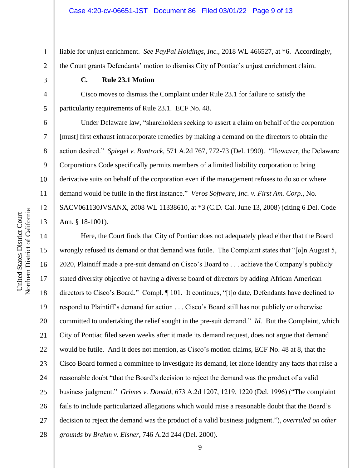liable for unjust enrichment. *See PayPal Holdings, Inc.*, 2018 WL 466527, at \*6. Accordingly, the Court grants Defendants' motion to dismiss City of Pontiac's unjust enrichment claim.

**C. Rule 23.1 Motion**

Cisco moves to dismiss the Complaint under Rule 23.1 for failure to satisfy the particularity requirements of Rule 23.1. ECF No. 48.

Under Delaware law, "shareholders seeking to assert a claim on behalf of the corporation [must] first exhaust intracorporate remedies by making a demand on the directors to obtain the action desired." *Spiegel v. Buntrock*, 571 A.2d 767, 772-73 (Del. 1990). "However, the Delaware Corporations Code specifically permits members of a limited liability corporation to bring derivative suits on behalf of the corporation even if the management refuses to do so or where demand would be futile in the first instance." *Veros Software, Inc. v. First Am. Corp.*, No. SACV061130JVSANX, 2008 WL 11338610, at \*3 (C.D. Cal. June 13, 2008) (citing 6 Del. Code Ann. § 18-1001).

14 15 16 17 18 19 20 21 22 23 24 25 26 27 28 Here, the Court finds that City of Pontiac does not adequately plead either that the Board wrongly refused its demand or that demand was futile. The Complaint states that "[o]n August 5, 2020, Plaintiff made a pre-suit demand on Cisco's Board to . . . achieve the Company's publicly stated diversity objective of having a diverse board of directors by adding African American directors to Cisco's Board." Compl. ¶ 101. It continues, "[t]o date, Defendants have declined to respond to Plaintiff's demand for action . . . Cisco's Board still has not publicly or otherwise committed to undertaking the relief sought in the pre-suit demand." *Id.* But the Complaint, which City of Pontiac filed seven weeks after it made its demand request, does not argue that demand would be futile. And it does not mention, as Cisco's motion claims, ECF No. 48 at 8, that the Cisco Board formed a committee to investigate its demand, let alone identify any facts that raise a reasonable doubt "that the Board's decision to reject the demand was the product of a valid business judgment." *Grimes v. Donald*, 673 A.2d 1207, 1219, 1220 (Del. 1996) ("The complaint fails to include particularized allegations which would raise a reasonable doubt that the Board's decision to reject the demand was the product of a valid business judgment."), *overruled on other grounds by Brehm v. Eisner*, 746 A.2d 244 (Del. 2000).

1

2

3

4

5

6

7

8

9

10

11

12

13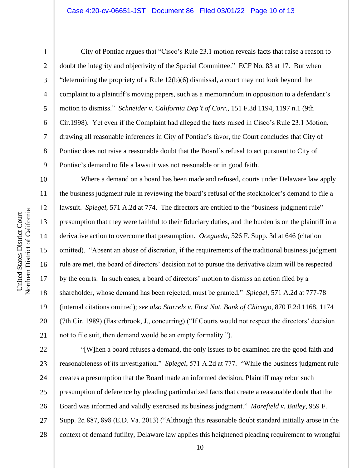1

2

3

4

5

6

7

8

9

10

11

12

13

14

15

16

17

18

19

20

21

City of Pontiac argues that "Cisco's Rule 23.1 motion reveals facts that raise a reason to doubt the integrity and objectivity of the Special Committee." ECF No. 83 at 17. But when "determining the propriety of a Rule 12(b)(6) dismissal, a court may not look beyond the complaint to a plaintiff's moving papers, such as a memorandum in opposition to a defendant's motion to dismiss." *Schneider v. California Dep't of Corr.*, 151 F.3d 1194, 1197 n.1 (9th Cir.1998). Yet even if the Complaint had alleged the facts raised in Cisco's Rule 23.1 Motion, drawing all reasonable inferences in City of Pontiac's favor, the Court concludes that City of Pontiac does not raise a reasonable doubt that the Board's refusal to act pursuant to City of Pontiac's demand to file a lawsuit was not reasonable or in good faith.

Where a demand on a board has been made and refused, courts under Delaware law apply the business judgment rule in reviewing the board's refusal of the stockholder's demand to file a lawsuit. *Spiegel*, 571 A.2d at 774. The directors are entitled to the "business judgment rule" presumption that they were faithful to their fiduciary duties, and the burden is on the plaintiff in a derivative action to overcome that presumption. *Ocegueda*, 526 F. Supp. 3d at 646 (citation omitted). "Absent an abuse of discretion, if the requirements of the traditional business judgment rule are met, the board of directors' decision not to pursue the derivative claim will be respected by the courts. In such cases, a board of directors' motion to dismiss an action filed by a shareholder, whose demand has been rejected, must be granted." *Spiegel*, 571 A.2d at 777-78 (internal citations omitted); *see also Starrels v. First Nat. Bank of Chicago*, 870 F.2d 1168, 1174 (7th Cir. 1989) (Easterbrook, J., concurring) ("If Courts would not respect the directors' decision not to file suit, then demand would be an empty formality.").

22 23 24 25 26 27 28 "[W]hen a board refuses a demand, the only issues to be examined are the good faith and reasonableness of its investigation." *Spiegel*, 571 A.2d at 777. "While the business judgment rule creates a presumption that the Board made an informed decision, Plaintiff may rebut such presumption of deference by pleading particularized facts that create a reasonable doubt that the Board was informed and validly exercised its business judgment." *Morefield v. Bailey*, 959 F. Supp. 2d 887, 898 (E.D. Va. 2013) ("Although this reasonable doubt standard initially arose in the context of demand futility, Delaware law applies this heightened pleading requirement to wrongful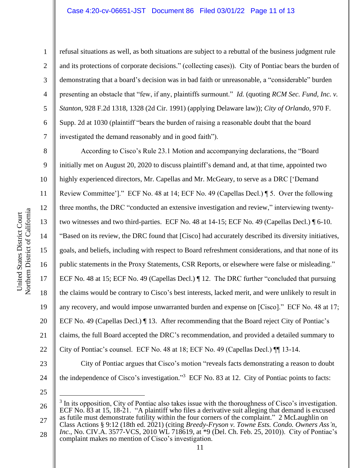## Case 4:20-cv-06651-JST Document 86 Filed 03/01/22 Page 11 of 13

1

2

3

4

5

6

7

8

9

11

12

13

14

15

17

18

19

21

refusal situations as well, as both situations are subject to a rebuttal of the business judgment rule and its protections of corporate decisions." (collecting cases))*.* City of Pontiac bears the burden of demonstrating that a board's decision was in bad faith or unreasonable, a "considerable" burden presenting an obstacle that "few, if any, plaintiffs surmount." *Id.* (quoting *RCM Sec. Fund, Inc. v. Stanton*, 928 F.2d 1318, 1328 (2d Cir. 1991) (applying Delaware law)); *City of Orlando*, 970 F. Supp. 2d at 1030 (plaintiff "bears the burden of raising a reasonable doubt that the board investigated the demand reasonably and in good faith").

10 16 20 22 According to Cisco's Rule 23.1 Motion and accompanying declarations, the "Board initially met on August 20, 2020 to discuss plaintiff's demand and, at that time, appointed two highly experienced directors, Mr. Capellas and Mr. McGeary, to serve as a DRC ['Demand' Review Committee']." ECF No. 48 at 14; ECF No. 49 (Capellas Decl.) ¶ 5. Over the following three months, the DRC "conducted an extensive investigation and review," interviewing twentytwo witnesses and two third-parties. ECF No. 48 at 14-15; ECF No. 49 (Capellas Decl.) ¶ 6-10. "Based on its review, the DRC found that [Cisco] had accurately described its diversity initiatives, goals, and beliefs, including with respect to Board refreshment considerations, and that none of its public statements in the Proxy Statements, CSR Reports, or elsewhere were false or misleading." ECF No. 48 at 15; ECF No. 49 (Capellas Decl.) ¶ 12. The DRC further "concluded that pursuing the claims would be contrary to Cisco's best interests, lacked merit, and were unlikely to result in any recovery, and would impose unwarranted burden and expense on [Cisco]." ECF No. 48 at 17; ECF No. 49 (Capellas Decl.) ¶ 13. After recommending that the Board reject City of Pontiac's claims, the full Board accepted the DRC's recommendation, and provided a detailed summary to City of Pontiac's counsel. ECF No. 48 at 18; ECF No. 49 (Capellas Decl.) ¶¶ 13-14. City of Pontiac argues that Cisco's motion "reveals facts demonstrating a reason to doubt the independence of Cisco's investigation."<sup>3</sup> ECF No. 83 at 12. City of Pontiac points to facts:

25

24

<sup>26</sup> 27  $3$  In its opposition, City of Pontiac also takes issue with the thoroughness of Cisco's investigation. ECF No. 83 at 15, 18-21. "A plaintiff who files a derivative suit alleging that demand is excused as futile must demonstrate futility within the four corners of the complaint." 2 McLaughlin on

<sup>28</sup> Class Actions § 9:12 (18th ed. 2021) (citing *Breedy-Fryson v. Towne Ests. Condo. Owners Ass'n*, *Inc.*, No. CIV.A. 3577-VCS, 2010 WL 718619, at \*9 (Del. Ch. Feb. 25, 2010)). City of Pontiac's complaint makes no mention of Cisco's investigation.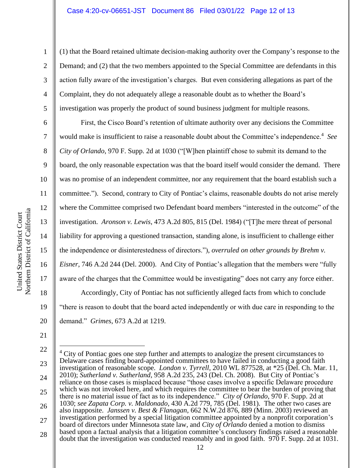(1) that the Board retained ultimate decision-making authority over the Company's response to the Demand; and (2) that the two members appointed to the Special Committee are defendants in this action fully aware of the investigation's charges. But even considering allegations as part of the Complaint, they do not adequately allege a reasonable doubt as to whether the Board's investigation was properly the product of sound business judgment for multiple reasons.

First, the Cisco Board's retention of ultimate authority over any decisions the Committee would make is insufficient to raise a reasonable doubt about the Committee's independence.<sup>4</sup> See *City of Orlando*, 970 F. Supp. 2d at 1030 ("[W]hen plaintiff chose to submit its demand to the board, the only reasonable expectation was that the board itself would consider the demand. There was no promise of an independent committee, nor any requirement that the board establish such a committee."). Second, contrary to City of Pontiac's claims, reasonable doubts do not arise merely where the Committee comprised two Defendant board members "interested in the outcome" of the investigation. *Aronson v. Lewis*, 473 A.2d 805, 815 (Del. 1984) ("[T]he mere threat of personal liability for approving a questioned transaction, standing alone, is insufficient to challenge either the independence or disinterestedness of directors."), *overruled on other grounds by Brehm v. Eisner*, 746 A.2d 244 (Del. 2000). And City of Pontiac's allegation that the members were "fully aware of the charges that the Committee would be investigating" does not carry any force either. Accordingly, City of Pontiac has not sufficiently alleged facts from which to conclude "there is reason to doubt that the board acted independently or with due care in responding to the demand." *Grimes*, 673 A.2d at 1219.

1

2

3

4

5

6

7

8

9

10

11

12

13

14

15

16

17

18

19

20

21

<sup>22</sup> 23 24 25 26 27 28  $4$  City of Pontiac goes one step further and attempts to analogize the present circumstances to Delaware cases finding board-appointed committees to have failed in conducting a good faith investigation of reasonable scope. *London v. Tyrrell*, 2010 WL 877528, at \*25 (Del. Ch. Mar. 11, 2010); *Sutherland v. Sutherland*, 958 A.2d 235, 243 (Del. Ch. 2008). But City of Pontiac's reliance on those cases is misplaced because "those cases involve a specific Delaware procedure which was not invoked here, and which requires the committee to bear the burden of proving that there is no material issue of fact as to its independence." *City of Orlando*, 970 F. Supp. 2d at 1030; *see Zapata Corp. v. Maldonado*, 430 A.2d 779, 785 (Del. 1981). The other two cases are also inapposite. *Janssen v. Best & Flanagan*, 662 N.W.2d 876, 889 (Minn. 2003) reviewed an investigation performed by a special litigation committee appointed by a nonprofit corporation's board of directors under Minnesota state law, and *City of Orlando* denied a motion to dismiss based upon a factual analysis that a litigation committee's conclusory findings raised a reasonable doubt that the investigation was conducted reasonably and in good faith. 970 F. Supp. 2d at 1031.